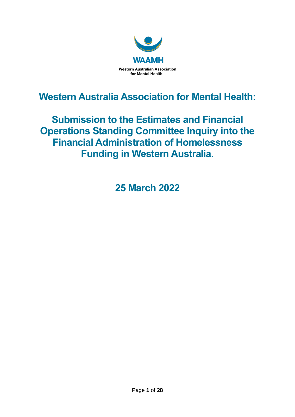

**Western Australia Association for Mental Health:**

**Submission to the Estimates and Financial Operations Standing Committee Inquiry into the Financial Administration of Homelessness Funding in Western Australia.**

**25 March 2022**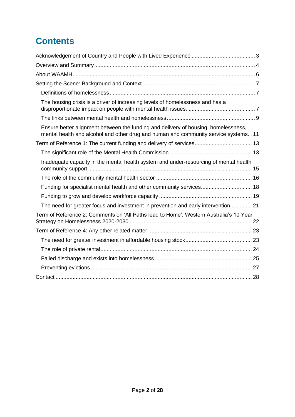# **Contents**

| The housing crisis is a driver of increasing levels of homelessness and has a                                                                                                |
|------------------------------------------------------------------------------------------------------------------------------------------------------------------------------|
|                                                                                                                                                                              |
| Ensure better alignment between the funding and delivery of housing, homelessness,<br>mental health and alcohol and other drug and human and community service systems. . 11 |
| Term of Reference 1: The current funding and delivery of services 13                                                                                                         |
|                                                                                                                                                                              |
| Inadequate capacity in the mental health system and under-resourcing of mental health                                                                                        |
|                                                                                                                                                                              |
| Funding for specialist mental health and other community services 18                                                                                                         |
|                                                                                                                                                                              |
| The need for greater focus and investment in prevention and early intervention 21                                                                                            |
| Term of Reference 2: Comments on 'All Paths lead to Home': Western Australia's 10 Year                                                                                       |
|                                                                                                                                                                              |
|                                                                                                                                                                              |
|                                                                                                                                                                              |
|                                                                                                                                                                              |
|                                                                                                                                                                              |
|                                                                                                                                                                              |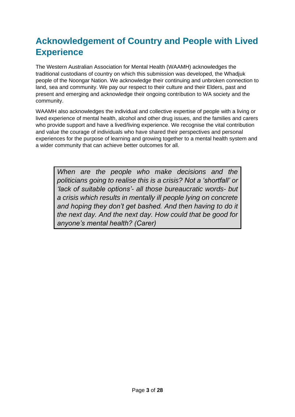# <span id="page-2-0"></span>**Acknowledgement of Country and People with Lived Experience**

The Western Australian Association for Mental Health (WAAMH) acknowledges the traditional custodians of country on which this submission was developed, the Whadjuk people of the Noongar Nation. We acknowledge their continuing and unbroken connection to land, sea and community. We pay our respect to their culture and their Elders, past and present and emerging and acknowledge their ongoing contribution to WA society and the community.

WAAMH also acknowledges the individual and collective expertise of people with a living or lived experience of mental health, alcohol and other drug issues, and the families and carers who provide support and have a lived/living experience. We recognise the vital contribution and value the courage of individuals who have shared their perspectives and personal experiences for the purpose of learning and growing together to a mental health system and a wider community that can achieve better outcomes for all.

*When are the people who make decisions and the politicians going to realise this is a crisis? Not a 'shortfall' or 'lack of suitable options'- all those bureaucratic words- but a crisis which results in mentally ill people lying on concrete and hoping they don't get bashed. And then having to do it the next day. And the next day. How could that be good for anyone's mental health? (Carer)*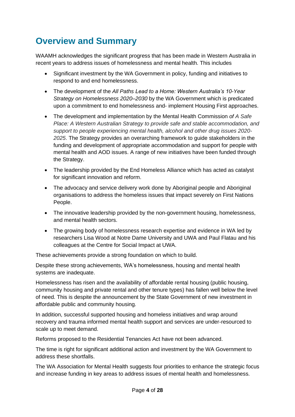## <span id="page-3-0"></span>**Overview and Summary**

WAAMH acknowledges the significant progress that has been made in Western Australia in recent years to address issues of homelessness and mental health. This includes

- Significant investment by the WA Government in policy, funding and initiatives to respond to and end homelessness.
- The development of the *All Paths Lead to a Home: Western Australia's 10-Year Strategy on Homelessness 2020–2030* by the WA Government which is predicated upon a commitment to end homelessness and- implement Housing First approaches.
- The development and implementation by the Mental Health Commission *of A Safe Place: A Western Australian Strategy to provide safe and stable accommodation, and support to people experiencing mental health, alcohol and other drug issues 2020- 2025*. The Strategy provides an overarching framework to guide stakeholders in the funding and development of appropriate accommodation and support for people with mental health and AOD issues. A range of new initiatives have been funded through the Strategy.
- The leadership provided by the End Homeless Alliance which has acted as catalyst for significant innovation and reform.
- The advocacy and service delivery work done by Aboriginal people and Aboriginal organisations to address the homeless issues that impact severely on First Nations People.
- The innovative leadership provided by the non-government housing, homelessness, and mental health sectors.
- The growing body of homelessness research expertise and evidence in WA led by researchers Lisa Wood at Notre Dame University and UWA and Paul Flatau and his colleagues at the Centre for Social Impact at UWA.

These achievements provide a strong foundation on which to build.

Despite these strong achievements, WA's homelessness, housing and mental health systems are inadequate.

Homelessness has risen and the availability of affordable rental housing (public housing, community housing and private rental and other tenure types) has fallen well below the level of need. This is despite the announcement by the State Government of new investment in affordable public and community housing.

In addition, successful supported housing and homeless initiatives and wrap around recovery and trauma informed mental health support and services are under-resourced to scale up to meet demand.

Reforms proposed to the Residential Tenancies Act have not been advanced.

The time is right for significant additional action and investment by the WA Government to address these shortfalls.

The WA Association for Mental Health suggests four priorities to enhance the strategic focus and increase funding in key areas to address issues of mental health and homelessness.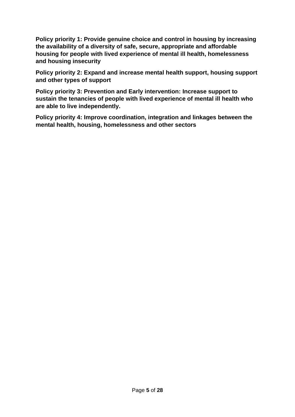**Policy priority 1: Provide genuine choice and control in housing by increasing the availability of a diversity of safe, secure, appropriate and affordable housing for people with lived experience of mental ill health, homelessness and housing insecurity**

**Policy priority 2: Expand and increase mental health support, housing support and other types of support**

**Policy priority 3: Prevention and Early intervention: Increase support to sustain the tenancies of people with lived experience of mental ill health who are able to live independently.** 

**Policy priority 4: Improve coordination, integration and linkages between the mental health, housing, homelessness and other sectors**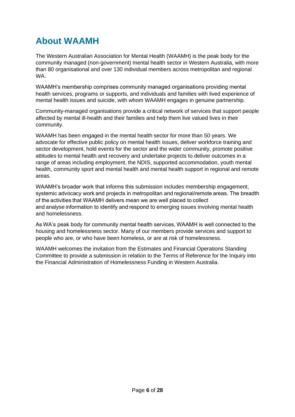## <span id="page-5-0"></span>**About WAAMH**

The Western Australian Association for Mental Health (WAAMH) is the peak body for the community managed (non-government) mental health sector in Western Australia, with more than 80 organisational and over 130 individual members across metropolitan and regional WA.

WAAMH's membership comprises community managed organisations providing mental health services, programs or supports, and individuals and families with lived experience of mental health issues and suicide, with whom WAAMH engages in genuine partnership.

Community-managed organisations provide a critical network of services that support people affected by mental ill-health and their families and help them live valued lives in their community.

WAAMH has been engaged in the mental health sector for more than 50 years. We advocate for effective public policy on mental health issues, deliver workforce training and sector development, hold events for the sector and the wider community, promote positive attitudes to mental health and recovery and undertake projects to deliver outcomes in a range of areas including employment, the NDIS, supported accommodation, youth mental health, community sport and mental health and mental health support in regional and remote areas.

WAAMH's broader work that informs this submission includes membership engagement, systemic advocacy work and projects in metropolitan and regional/remote areas. The breadth of the activities that WAAMH delivers mean we are well placed to collect and analyse information to identify and respond to emerging issues involving mental health and homelessness.

As WA's peak body for community mental health services, WAAMH is well connected to the housing and homelessness sector. Many of our members provide services and support to people who are, or who have been homeless, or are at risk of homelessness.

WAAMH welcomes the invitation from the Estimates and Financial Operations Standing Committee to provide a submission in relation to the Terms of Reference for the Inquiry into the Financial Administration of Homelessness Funding in Western Australia.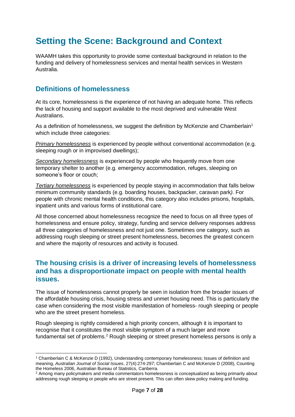## <span id="page-6-0"></span>**Setting the Scene: Background and Context**

WAAMH takes this opportunity to provide some contextual background in relation to the funding and delivery of homelessness services and mental health services in Western Australia.

### <span id="page-6-1"></span>**Definitions of homelessness**

At its core, homelessness is the experience of not having an adequate home. This reflects the lack of housing and support available to the most deprived and vulnerable West Australians.

As a definition of homelessness, we suggest the definition by McKenzie and Chamberlain<sup>1</sup> which include three categories:

*Primary homelessness* is experienced by people without conventional accommodation (e.g. sleeping rough or in improvised dwellings);

*Secondary homelessness* is experienced by people who frequently move from one temporary shelter to another (e.g. emergency accommodation, refuges, sleeping on someone's floor or couch;

*Tertiary homelessness* is experienced by people staying in accommodation that falls below minimum community standards (e.g. boarding houses, backpacker, caravan park*).* For people with chronic mental health conditions, this category also includes prisons, hospitals, inpatient units and various forms of institutional care.

All those concerned about homelessness recognize the need to focus on all three types of homelessness and ensure policy, strategy, funding and service delivery responses address all three categories of homelessness and not just one. Sometimes one category, such as addressing rough sleeping or street present homelessness, becomes the greatest concern and where the majority of resources and activity is focused.

### <span id="page-6-2"></span>**The housing crisis is a driver of increasing levels of homelessness and has a disproportionate impact on people with mental health issues.**

The issue of homelessness cannot properly be seen in isolation from the broader issues of the affordable housing crisis, housing stress and unmet housing need. This is particularly the case when considering the most visible manifestation of homeless- rough sleeping or people who are the street present homeless.

Rough sleeping is rightly considered a high priority concern, although it is important to recognise that it constitutes the most visible symptom of a much larger and more fundamental set of problems.<sup>2</sup> Rough sleeping or street present homeless persons is only a

<sup>1</sup> Chamberlain C & McKenzie D (1992), Understanding contemporary homelessness; Issues of definition and meaning, *Australian Journal of Social Issues*, 27(4):274-297; Chamberlain C and McKenzie D (2008), Counting the Homeless 2006, Australian Bureau of Statistics, Canberra.

<sup>2</sup> Among many policymakers and media commentators homelessness is conceptualized as being primarily about addressing rough sleeping or people who are street present. This can often skew policy making and funding.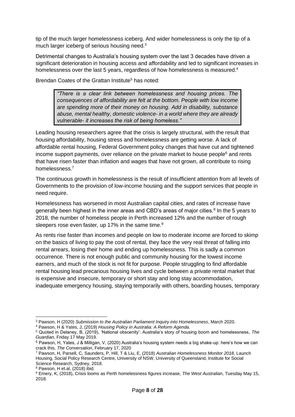tip of the much larger homelessness iceberg. And wider homelessness is only the tip of a much larger iceberg of serious housing need.<sup>3</sup>

Detrimental changes to Australia's housing system over the last 3 decades have driven a significant deterioration in housing access and affordability and led to significant increases in homelessness over the last 5 years, regardless of how homelessness is measured.<sup>4</sup>

Brendan Coates of the Grattan Institute<sup>5</sup> has noted:

*"There is a clear link between homelessness and housing prices. The consequences of affordability are felt at the bottom. People with low income are spending more of their money on housing. Add in disability, substance abuse, mental healthy, domestic violence- in a world where they are already vulnerable- it increases the risk of being homeless."*

Leading housing researchers agree that the crisis is largely structural, with the result that housing affordability, housing stress and homelessness are getting worse. A lack of affordable rental housing, Federal Government policy changes that have cut and tightened income support payments, over reliance on the private market to house people $6$  and rents that have risen faster than inflation and wages that have not grown, all contribute to rising homelessness.<sup>7</sup>

The continuous growth in homelessness is the result of insufficient attention from all levels of Governments to the provision of low-income housing and the support services that people in need require.

Homelessness has worsened in most Australian capital cities, and rates of increase have generally been highest in the inner areas and CBD's areas of major cities.<sup>8</sup> In the 5 years to 2018, the number of homeless people in Perth increased 12% and the number of rough sleepers rose even faster, up 17% in the same time.<sup>9</sup>

As rents rise faster than incomes and people on low to moderate income are forced to skimp on the basics of living to pay the cost of rental, they face the very real threat of falling into rental arrears, losing their home and ending up homelessness. This is sadly a common occurrence. There is not enough public and community housing for the lowest income earners, and much of the stock is not fit for purpose. People struggling to find affordable rental housing lead precarious housing lives and cycle between a private rental market that is expensive and insecure, temporary or short stay and long stay accommodation, inadequate emergency housing, staying temporarily with others, boarding houses, temporary

<sup>3</sup> Pawson, H (2020) *Submission to the Australian Parliament Inquiry into Homelessness*, March 2020.

<sup>4</sup> Pawson, H & Yates, J, (2019) *Housing Policy in Australia: A Reform Agenda.*

<sup>5</sup> Quoted in Delaney, B, (2019), 'National obscenity': Australia's story of housing boom and homelessness, *The Guardian*, Friday 17 May 2019.

<sup>6</sup> Pawson, H, Yates, J & Milligan, V, (2020) Australia's housing system needs a big shake-up: here's how we can crack this, *The Conversation*, February 17, 2020

<sup>7</sup> Pawson, H, Parsell, C, Saunders, P, Hill, T & Liu, E, (2018) *Australian Homelessness Monitor 2018*, Launch Housing, Social Policy Research Centre, University of NSW, University of Queensland, Institute for Social Science Research, Sydney, 2018.

<sup>8</sup> Pawson, H et.al, (2018) ibid.

<sup>9</sup> Emery, K, (2018), Crisis looms as Perth homelessness figures increase, *The West Australian*, Tuesday May 15, 2018.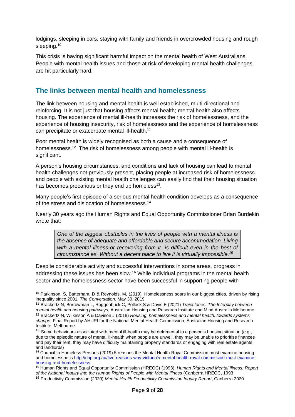lodgings, sleeping in cars, staying with family and friends in overcrowded housing and rough sleeping.<sup>10</sup>

This crisis is having significant harmful impact on the mental health of West Australians. People with mental health issues and those at risk of developing mental health challenges are hit particularly hard.

### <span id="page-8-0"></span>**The links between mental health and homelessness**

The link between housing and mental health is well established, multi-directional and reinforcing. It is not just that housing affects mental health; mental health also affects housing. The experience of mental ill-health increases the risk of homelessness, and the experience of housing insecurity, risk of homelessness and the experience of homelessness can precipitate or exacerbate mental ill-health.<sup>11</sup>

Poor mental health is widely recognised as both a cause and a consequence of homelessness.<sup>12</sup> The risk of homelessness among people with mental ill-health is significant.

A person's housing circumstances, and conditions and lack of housing can lead to mental health challenges not previously present, placing people at increased risk of homelessness and people with existing mental health challenges can easily find that their housing situation has becomes precarious or they end up homeless<sup>13</sup>.

Many people's first episode of a serious mental health condition develops as a consequence of the stress and dislocation of homelessness.<sup>14</sup>

Nearly 30 years ago the Human Rights and Equal Opportunity Commissioner Brian Burdekin wrote that:

*One of the biggest obstacles in the lives of people with a mental illness is the absence of adequate and affordable and secure accommodation. Living with a mental illness-or recovering from it- is difficult even in the best of circumstance es. Without a decent place to live it is virtually impossible. 15*

Despite considerable activity and successful interventions in some areas, progress in addressing these issues has been slow.<sup>16</sup> While individual programs in the mental health sector and the homelessness sector have been successful in supporting people with

<sup>&</sup>lt;sup>10</sup> Parkinson, S, Batterham, D & Reynolds, M, (2019), Homelessness soars in our biggest cities, driven by rising inequality since 2001, *The Conversation*, May 30, 2019

<sup>11</sup> Brackertz N, Borrowman L, Roggenbuck C, Pollock S & Davis E (2021) *Trajectories: The Interplay between mental health and housing pathways*, Australian Housing and Research Institute and Mind Australia Melbourne.

<sup>12</sup> Brackertz N, Wilkinson A & Davison J (2018) *Housing, homelessness and mental health: towards systems change*, Final Report by AHURI for the National Mental Health Commission, Australian Housing and Research Institute, Melbourne.

<sup>&</sup>lt;sup>13</sup> Some behaviours associated with mental ill-health may be detrimental to a person's housing situation (e.g., due to the episodic nature of mental ill-health when people are unwell, they may be unable to prioritise finances and pay their rent, they may have difficulty maintaining property standards or engaging with real estate agents and landlords)

<sup>&</sup>lt;sup>14</sup> Council to Homeless Persons (2019) 5 reasons the Mental Health Royal Commission must examine housing and homelessness [http://chp.org.au/five-reasons-why-victoria's-mental-health-royal-commission-must-examine](http://chp.org.au/five-reasons-why-victoria’s-mental-health-royal-commission-must-examine-housing-and-homelessness)[housing-and-homelessness](http://chp.org.au/five-reasons-why-victoria’s-mental-health-royal-commission-must-examine-housing-and-homelessness)

<sup>15</sup> Human Rights and Equal Opportunity Commission (HREOC) (1993), *Human Rights and Mental Illness: Report of the National Inquiry into the Human Rights of People with Mental Illness* (Canberra HREOC, 1993

<sup>16</sup> Productivity Commission (2020) *Mental Health Productivity Commission Inquiry Report*, Canberra 2020.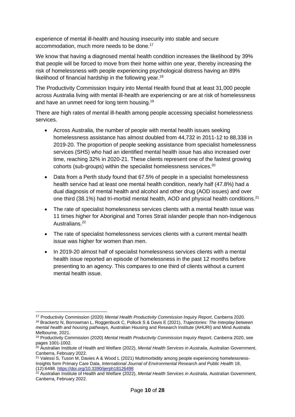experience of mental ill-health and housing insecurity into stable and secure accommodation, much more needs to be done.<sup>17</sup>

We know that having a diagnosed mental health condition increases the likelihood by 39% that people will be forced to move from their home within one year, thereby increasing the risk of homelessness with people experiencing psychological distress having an 89% likelihood of financial hardship in the following year.<sup>18</sup>

The Productivity Commission Inquiry into Mental Health found that at least 31,000 people across Australia living with mental ill-health are experiencing or are at risk of homelessness and have an unmet need for long term housing.<sup>19</sup>

There are high rates of mental ill-health among people accessing specialist homelessness services.

- Across Australia, the number of people with mental health issues seeking homelessness assistance has almost doubled from 44,732 in 2011-12 to 88,338 in 2019-20. The proportion of people seeking assistance from specialist homelessness services (SHS) who had an identified mental health issue has also increased over time, reaching 32% in 2020-21. These clients represent one of the fastest growing cohorts (sub-groups) within the specialist homelessness services.<sup>20</sup>
- Data from a Perth study found that 67.5% of people in a specialist homelessness health service had at least one mental health condition, nearly half (47.8%) had a dual diagnosis of mental health and alcohol and other drug (AOD issues) and over one third (38.1%) had tri-morbid mental health, AOD and physical health conditions.<sup>21</sup>
- The rate of specialist homelessness services clients with a mental health issue was 11 times higher for Aboriginal and Torres Strait islander people than non-Indigenous Australians.<sup>22</sup>
- The rate of specialist homelessness services clients with a current mental health issue was higher for women than men.
- In 2019-20 almost half of specialist homelessness services clients with a mental health issue reported an episode of homelessness in the past 12 months before presenting to an agency. This compares to one third of clients without a current mental health issue.

<sup>17</sup> Productivity Commission (2020) *Mental Health Productivity Commission Inquiry Report*, Canberra 2020.

<sup>18</sup> Brackertz N, Borrowman L, Roggenbuck C, Pollock S & Davis E (2021), *Trajectories: The Interplay between mental health and housing pathways,* Australian Housing and Research Institute (AHURI) and Mind Australia Melbourne, 2021.

<sup>19</sup> Productivity Commission (2020) *Mental Health Productivity Commission Inquiry Report*, Canberra 2020, see pages 1001-1002.

<sup>20</sup> Australian Institute of Health and Welfare (2022), *Mental Health Services in Australia*, Australian Government, Canberra, February 2022.

<sup>&</sup>lt;sup>21</sup> Valessi S, Tuson M, Davies A & Wood L (2021) Multimorbidity among people experiencing homelessness-Insights form Primary Care Data, *International Journal of Environmental Research and Public Health* 18, (12):6498. <https://doi.org/10.3390/ijerph18126498>

<sup>22</sup> Australian Institute of Health and Welfare (2022), *Mental Health Services in Australia,* Australian Government, Canberra, February 2022.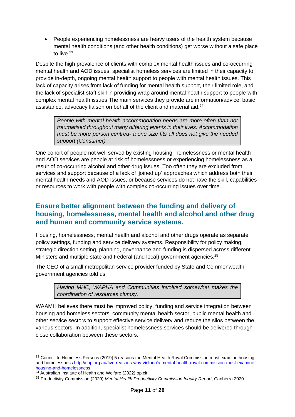• People experiencing homelessness are heavy users of the health system because mental health conditions (and other health conditions) get worse without a safe place to live.<sup>23</sup>

Despite the high prevalence of clients with complex mental health issues and co-occurring mental health and AOD issues, specialist homeless services are limited in their capacity to provide in-depth, ongoing mental health support to people with mental health issues. This lack of capacity arises from lack of funding for mental health support, their limited role, and the lack of specialist staff skill in providing wrap around mental health support to people with complex mental health issues The main services they provide are information/advice, basic assistance, advocacy liaison on behalf of the client and material aid.<sup>24</sup>

*People with mental health accommodation needs are more often than not traumatised throughout many differing events in their lives. Accommodation must be more person centred- a one size fits all does not give the needed support (Consumer)*

One cohort of people not well served by existing housing, homelessness or mental health and AOD services are people at risk of homelessness or experiencing homelessness as a result of co-occurring alcohol and other drug issues. Too often they are excluded from services and support because of a lack of 'joined up' approaches which address both their mental health needs and AOD issues, or because services do not have the skill, capabilities or resources to work with people with complex co-occurring issues over time.

## <span id="page-10-0"></span>**Ensure better alignment between the funding and delivery of housing, homelessness, mental health and alcohol and other drug and human and community service systems.**

Housing, homelessness, mental health and alcohol and other drugs operate as separate policy settings, funding and service delivery systems. Responsibility for policy making, strategic direction setting, planning, governance and funding is dispersed across different Ministers and multiple state and Federal (and local) government agencies.<sup>25</sup>

The CEO of a small metropolitan service provider funded by State and Commonwealth government agencies told us

> *Having MHC, WAPHA and Communities involved somewhat makes the coordination of resources clumsy.*

WAAMH believes there must be improved policy, funding and service integration between housing and homeless sectors, community mental health sector, public mental health and other service sectors to support effective service delivery and reduce the silos between the various sectors. In addition, specialist homelessness services should be delivered through close collaboration between these sectors.

<sup>&</sup>lt;sup>23</sup> Council to Homeless Persons (2019) 5 reasons the Mental Health Royal Commission must examine housing and homelessnes[s http://chp.org.au/five-reasons-why-victoria's-mental-health-royal-commission-must-examine](http://chp.org.au/five-reasons-why-victoria’s-mental-health-royal-commission-must-examine-housing-and-homelessness)[housing-and-homelessness](http://chp.org.au/five-reasons-why-victoria’s-mental-health-royal-commission-must-examine-housing-and-homelessness)

<sup>&</sup>lt;sup>24</sup> Australian Institute of Health and Welfare (2022) op.cit

<sup>25</sup> Productivity Commission (2020) *Mental Health Productivity Commission Inquiry Report*, Canberra 2020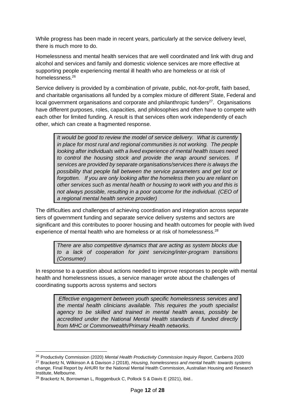While progress has been made in recent years, particularly at the service delivery level, there is much more to do.

Homelessness and mental health services that are well coordinated and link with drug and alcohol and services and family and domestic violence services are more effective at supporting people experiencing mental ill health who are homeless or at risk of homelessness.<sup>26</sup>

Service delivery is provided by a combination of private, public, not-for-profit, faith based, and charitable organisations all funded by a complex mixture of different State, Federal and local government organisations and corporate and philanthropic funders<sup>27</sup>. Organisations have different purposes, roles, capacities, and philosophies and often have to compete with each other for limited funding. A result is that services often work independently of each other, which can create a fragmented response.

*It would be good to review the model of service delivery. What is currently in place for most rural and regional communities is not working. The people looking after individuals with a lived experience of mental health issues need to control the housing stock and provide the wrap around services. If services are provided by separate organisations/services there is always the possibility that people fall between the service parameters and get lost or forgotten. If you are only looking after the homeless then you are reliant on other services such as mental health or housing to work with you and this is not always possible, resulting in a poor outcome for the individual. (CEO of a regional mental health service provider)*

The difficulties and challenges of achieving coordination and integration across separate tiers of government funding and separate service delivery systems and sectors are significant and this contributes to poorer housing and health outcomes for people with lived experience of mental health who are homeless or at risk of homelessness.<sup>28</sup>

*There are also competitive dynamics that are acting as system blocks due to a lack of cooperation for joint servicing/inter-program transitions (Consumer)*

In response to a question about actions needed to improve responses to people with mental health and homelessness issues, a service manager wrote about the challenges of coordinating supports across systems and sectors

*Effective engagement between youth specific homelessness services and the mental health clinicians available. This requires the youth specialist agency to be skilled and trained in mental health areas, possibly be accredited under the National Mental Health standards if funded directly from MHC or Commonwealth/Primary Health networks.*

<sup>26</sup> Productivity Commission (2020) *Mental Health Productivity Commission Inquiry Report*, Canberra 2020

<sup>27</sup> Brackertz N, Wilkinson A & Davison J (2018), *Housing, homelessness and mental health: towards systems change,* Final Report by AHURI for the National Mental Health Commission, Australian Housing and Research Institute, Melbourne.

<sup>28</sup> Brackertz N, Borrowman L, Roggenbuck C, Pollock S & Davis E (2021), ibid..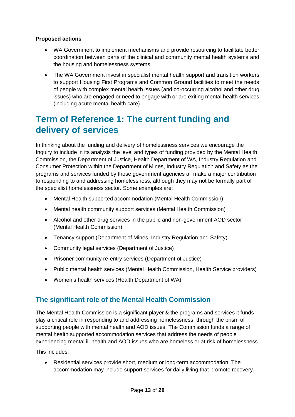#### **Proposed actions**

- WA Government to implement mechanisms and provide resourcing to facilitate better coordination between parts of the clinical and community mental health systems and the housing and homelessness systems.
- The WA Government invest in specialist mental health support and transition workers to support Housing First Programs and Common Ground facilities to meet the needs of people with complex mental health issues (and co-occurring alcohol and other drug issues) who are engaged or need to engage with or are exiting mental health services (including acute mental health care).

## <span id="page-12-0"></span>**Term of Reference 1: The current funding and delivery of services**

In thinking about the funding and delivery of homelessness services we encourage the Inquiry to include in its analysis the level and types of funding provided by the Mental Health Commission, the Department of Justice, Health Department of WA, Industry Regulation and Consumer Protection within the Department of Mines, Industry Regulation and Safety as the programs and services funded by those government agencies all make a major contribution to responding to and addressing homelessness, although they may not be formally part of the specialist homelessness sector. Some examples are:

- Mental Health supported accommodation (Mental Health Commission)
- Mental health community support services (Mental Health Commission)
- Alcohol and other drug services in the public and non-government AOD sector (Mental Health Commission)
- Tenancy support (Department of Mines, Industry Regulation and Safety)
- Community legal services (Department of Justice)
- Prisoner community re-entry services (Department of Justice)
- Public mental health services (Mental Health Commission, Health Service providers)
- Women's health services (Health Department of WA)

## <span id="page-12-1"></span>**The significant role of the Mental Health Commission**

The Mental Health Commission is a significant player & the programs and services it funds play a critical role in responding to and addressing homelessness, through the prism of supporting people with mental health and AOD issues. The Commission funds a range of mental health supported accommodation services that address the needs of people experiencing mental ill-health and AOD issues who are homeless or at risk of homelessness.

This includes:

• Residential services provide short, medium or long-term accommodation. The accommodation may include support services for daily living that promote recovery.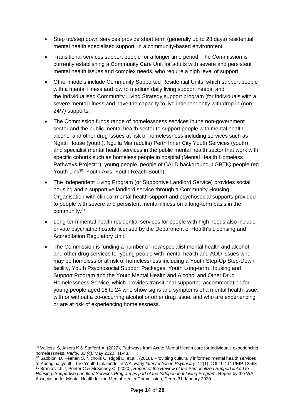- [Step up/step down services](https://www.mhc.wa.gov.au/about-us/major-projects/community-mental-health-step-upstep-down-services/) provide short term (generally up to 28 days) residential mental health specialised support, in a community-based environment.
- Transitional services support people for a longer time period. The Commission is currently establishing a [Community Care Unit](https://www.mhc.wa.gov.au/about-us/major-projects/implementing-the-a-safe-place-strategy/) for adults with severe and persistent mental health issues and complex needs, who require a high level of support.
- Other models include [Community Supported Residential Units,](http://www.health.wa.gov.au/docreg/Education/Population/Health_Problems/Mental_Illness/csru_kelmscott_fact.pdf) which support people with a mental illness and low to medium daily living support needs, and the [Individualised Community Living Strategy](https://www.mhc.wa.gov.au/getting-help/community-support-and-treatment-services/about-the-individualised-community-living-strategy/) support program (for individuals with a severe mental illness and have the capacity to live independently with drop in (non 24/7) supports.
- The Commission funds range of homelessness services in the non-government sector and the public mental health sector to support people with mental health, alcohol and other drug issues at risk of homelessness including services such as [Ngatti House \(youth\),](https://www.lwb.org.au/services/static/e75a014d6d57763334d26913eb8b444d/NewNgattiHouseBrochure.pdf) [Ngulla Mia \(adults\)](https://www.rw.org.au/supported-accommodation-2/ngulla-mia/) Perth Inner City Youth Services (youth) and specialist mental health services in the public mental health sector that work with specific cohorts such as homeless people in hospital (Mental Health Homeless Pathways Project<sup>29</sup>), young people, people of CALD background, LGBTIQ people (eg Youth Link<sup>30</sup>, Youth Axis, Youth Reach South).
- The Independent Living Program (or Supportive Landlord Service) provides social housing and a supportive landlord service through a Community Housing Organisation with clinical mental health support and psychosocial supports provided to people with severe and persistent mental illness on a long-term basis in the community.<sup>31</sup>
- Long term mental health residential services for people with high needs also include private psychiatric hostels licensed by the Department of Health's [Licensing and](https://ww2.health.wa.gov.au/Articles/A_E/About-licensing-of-private-healthcare-facilities)  [Accreditation Regulatory Unit.](https://ww2.health.wa.gov.au/Articles/A_E/About-licensing-of-private-healthcare-facilities)
- The Commission is funding a number of new specialist mental health and alcohol and other drug services for young people with mental health and AOD issues who may be homeless or at risk of homelessness including a Youth Step-Up Step-Down facility, Youth Psychosocial Support Packages, Youth Long-term Housing and Support Program and the Youth Mental Health and Alcohol and Other Drug Homelessness Service, which provides transitional supported accommodation for young people aged 16 to 24 who show signs and symptoms of a mental health issue, with or without a co-occurring alcohol or other drug issue, and who are experiencing or are at risk of experiencing homelessness.

<sup>&</sup>lt;sup>29</sup> Vallessi S, Ahlers K & Stafford A, (2022), Pathways from Acute Mental Health care for Individuals experiencing homelessness, *Parity, 33 (4),* May 2020: 41-43.

<sup>30</sup> Sabbioni D, Feehan S, Nicholls C, Rigoli D, et.al., (2018), Providing culturally informed mental health services to Aboriginal youth: The Youth Link model in WA, *Early Intervention in Psychiatry*, 12(1) DOI:10.1111/EIP.12563

<sup>31</sup> Brankovich J, Penter C & McKinney C, (2020), *Report of the Review of the Personalized Support linked to Housing: Supportive Landlord Services Program as part of the Independent Living Program*, Report by the WA Association for Mental Health for the Mental Health Commission, Perth, 31 January 2020.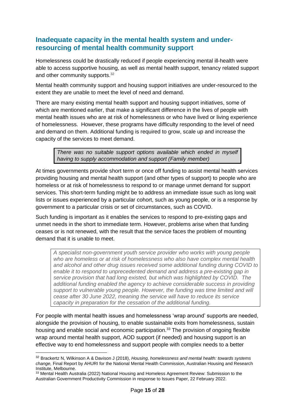### <span id="page-14-0"></span>**Inadequate capacity in the mental health system and underresourcing of mental health community support**

Homelessness could be drastically reduced if people experiencing mental ill-health were able to access supportive housing, as well as mental health support, tenancy related support and other community supports.<sup>32</sup>

Mental health community support and housing support initiatives are under-resourced to the extent they are unable to meet the level of need and demand.

There are many existing mental health support and housing support initiatives, some of which are mentioned earlier, that make a significant difference in the lives of people with mental health issues who are at risk of homelessness or who have lived or living experience of homelessness. However, these programs have difficulty responding to the level of need and demand on them. Additional funding is required to grow, scale up and increase the capacity of the services to meet demand.

*There was no suitable support options available which ended in myself having to supply accommodation and support (Family member)*

At times governments provide short term or once off funding to assist mental health services providing housing and mental health support (and other types of support) to people who are homeless or at risk of homelessness to respond to or manage unmet demand for support services. This short-term funding might be to address an immediate issue such as long wait lists or issues experienced by a particular cohort, such as young people, or is a response by government to a particular crisis or set of circumstances, such as COVID.

Such funding is important as it enables the services to respond to pre-existing gaps and unmet needs in the short to immediate term. However, problems arise when that funding ceases or is not renewed, with the result that the service faces the problem of mounting demand that it is unable to meet.

*A specialist non-government youth service provider who works with young people who are homeless or at risk of homelessness who also have complex mental health and alcohol and other drug issues received some additional funding during COVID to enable it to respond to unprecedented demand and address a pre-existing gap in service provision that had long existed, but which was highlighted by COVID. The additional funding enabled the agency to achieve considerable success in providing support to vulnerable young people. However, the funding was time limited and will cease after 30 June 2022, meaning the service will have to reduce its service capacity in preparation for the cessation of the additional funding.*

For people with mental health issues and homelessness 'wrap around' supports are needed, alongside the provision of housing, to enable sustainable exits from homelessness, sustain housing and enable social and economic participation.<sup>33</sup> The provision of ongoing flexible wrap around mental health support, AOD support (if needed) and housing support is an effective way to end homelessness and support people with complex needs to a better

<sup>32</sup> Brackertz N, Wilkinson A & Davison J (2018), *Housing, homelessness and mental health: towards systems change,* Final Report by AHURI for the National Mental Health Commission, Australian Housing and Research Institute, Melbourne.

<sup>&</sup>lt;sup>33</sup> Mental Health Australia (2022) National Housing and Homeless Agreement Review: Submission to the Australian Government Productivity Commission in response to Issues Paper, 22 February 2022.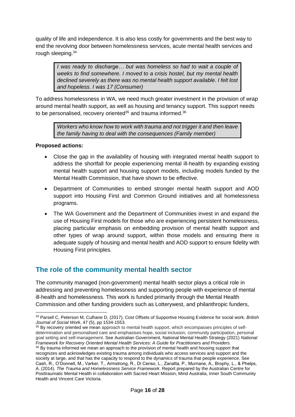quality of life and independence. It is also less costly for governments and the best way to end the revolving door between homelessness services, acute mental health services and rough sleeping.<sup>34</sup>

*I was ready to discharge… but was homeless so had to wait a couple of weeks to find somewhere. I moved to a crisis hostel, but my mental health declined severely as there was no mental health support available. I felt lost and hopeless. I was 17 (Consumer)*

To address homelessness in WA, we need much greater investment in the provision of wrap around mental health support, as well as housing and tenancy support. This support needs to be personalised, recovery oriented $35$  and trauma informed. $36$ 

*Workers who know how to work with trauma and not trigger it and then leave the family having to deal with the consequences (Family member)*

#### **Proposed actions:**

- Close the gap in the availability of housing with integrated mental health support to address the shortfall for people experiencing mental ill-health by expanding existing mental health support and housing support models, including models funded by the Mental Health Commission, that have shown to be effective.
- Department of Communities to embed stronger mental health support and AOD support into Housing First and Common Ground initiatives and all homelessness programs.
- The WA Government and the Department of Communities invest in and expand the use of Housing First models for those who are experiencing persistent homelessness, placing particular emphasis on embedding provision of mental health support and other types of wrap around support, within those models and ensuring there is adequate supply of housing and mental health and AOD support to ensure fidelity with Housing First principles.

## <span id="page-15-0"></span>**The role of the community mental health sector**

The community managed (non-government) mental health sector plays a critical role in addressing and preventing homelessness and supporting people with experience of mental ill-health and homelessness. This work is funded primarily through the Mental Health Commission and other funding providers such as Lotterywest, and philanthropic funders,

<sup>35</sup> By recovery oriented we mean approach to mental health support, which encompasses principles of selfdetermination and personalised care and emphasises hope, social inclusion, community participation, personal goal setting and self-management. See Australian Government, National Mental Health Strategy (2021) *National Framework for Recovery Oriented Mental Health Services: A Guide for Practitioners and Providers.* <sup>36</sup> By trauma informed we mean an approach to the provision of mental health and housing support that recognizes and acknowledges existing trauma among individuals who access services and support and the society at large, and that has the capacity to respond to the dynamics of trauma that people experience. See Cash, R., O'Donnell, M., Varker, T., Armstrong, R., Di Censo, L., Zanatta, P., Murnane, A., Brophy, L., & Phelps, A. (2014). *The Trauma and Homelessness Service Framework*. Report prepared by the Australian Centre for Posttraumatic Mental Health in collaboration with Sacred Heart Mission, Mind Australia, Inner South Community Health and Vincent Care Victoria.

<sup>34</sup> Parsell C, Peterson M, Culhane D, (2017), Cost Offsets of Supportive Housing Evidence for social work. *British Journal of Social Work*, 47 (5), pp 1534-1553.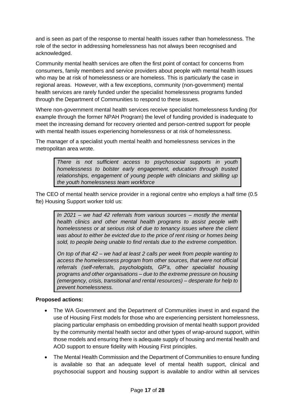and is seen as part of the response to mental health issues rather than homelessness. The role of the sector in addressing homelessness has not always been recognised and acknowledged.

Community mental health services are often the first point of contact for concerns from consumers, family members and service providers about people with mental health issues who may be at risk of homelessness or are homeless. This is particularly the case in regional areas. However, with a few exceptions, community (non-government) mental health services are rarely funded under the specialist homelessness programs funded through the Department of Communities to respond to these issues.

Where non-government mental health services receive specialist homelessness funding (for example through the former NPAH Program) the level of funding provided is inadequate to meet the increasing demand for recovery oriented and person-centred support for people with mental health issues experiencing homelessness or at risk of homelessness.

The manager of a specialist youth mental health and homelessness services in the metropolitan area wrote.

> *There is not sufficient access to psychosocial supports in youth homelessness to bolster early engagement, education through trusted relationships, engagement of young people with clinicians and skilling up the youth homelessness team workforce*

The CEO of mental health service provider in a regional centre who employs a half time (0.5 fte) Housing Support worker told us:

*In 2021 – we had 42 referrals from various sources – mostly the mental health clinics and other mental health programs to assist people with homelessness or at serious risk of due to tenancy issues where the client was about to either be evicted due to the price of rent rising or homes being sold, to people being unable to find rentals due to the extreme competition.* 

*On top of that 42 – we had at least 2 calls per week from people wanting to access the homelessness program from other sources, that were not official referrals (self-referrals, psychologists, GP's, other specialist housing programs and other organisations – due to the extreme pressure on housing (emergency, crisis, transitional and rental resources) – desperate for help to prevent homelessness.* 

#### **Proposed actions:**

- The WA Government and the Department of Communities invest in and expand the use of Housing First models for those who are experiencing persistent homelessness, placing particular emphasis on embedding provision of mental health support provided by the community mental health sector and other types of wrap-around support, within those models and ensuring there is adequate supply of housing and mental health and AOD support to ensure fidelity with Housing First principles.
- The Mental Health Commission and the Department of Communities to ensure funding is available so that an adequate level of mental health support, clinical and psychosocial support and housing support is available to and/or within all services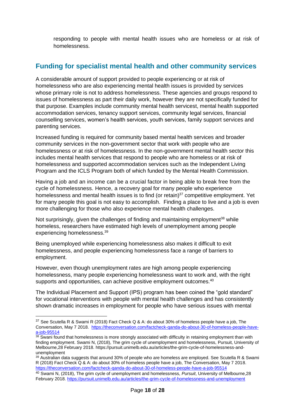responding to people with mental health issues who are homeless or at risk of homelessness.

## <span id="page-17-0"></span>**Funding for specialist mental health and other community services**

A considerable amount of support provided to people experiencing or at risk of homelessness who are also experiencing mental health issues is provided by services whose primary role is not to address homelessness. These agencies and groups respond to issues of homelessness as part their daily work, however they are not specifically funded for that purpose. Examples include community mental health servicest, mental health supported accommodation services, tenancy support services, community legal services, financial counselling services, women's health services, youth services, family support services and parenting services.

Increased funding is required for community based mental health services and broader community services in the non-government sector that work with people who are homelessness or at risk of homelessness. In the non-government mental health sector this includes mental health services that respond to people who are homeless or at risk of homelessness and supported accommodation services such as the Independent Living Program and the ICLS Program both of which funded by the Mental Health Commission.

[Having a job](https://link.springer.com/article/10.1007/s10935-007-0097-5) and an income can be a crucial factor in being able to break free from the cycle of homelessness. Hence, a recovery goal for many people who experience homelessness and mental health issues is to find (or retain) $37$  competitive employment. Yet for many people this goal is not easy to accomplish. Finding a place to live and a job is even more challenging for those who also experience mental health challenges.

Not surprisingly, given the challenges of finding and maintaining employment<sup>38</sup> while homeless, researchers have estimated high levels of unemployment among people experiencing homelessness. 39

Being unemployed while experiencing homelessness also makes it difficult to exit homelessness, and people experiencing homelessness face a range of barriers to employment.

However, even though unemployment rates are high among people experiencing homelessness, many people experiencing homelessness want to work and, with the right supports and opportunities, can achieve positive employment outcomes.<sup>40</sup>

The Individual Placement and Support (IPS) program has been coined the "gold standard" for vocational interventions with people with mental health challenges and has consistently shown dramatic increases in employment for people who have serious issues with mental

<sup>37</sup> See Scutella R & Swami R (2018) Fact Check Q & A: do about 30% of homeless people have a job, The Conversation, May 7 2018. [https://theconversation.com/factcheck-qanda-do-about-30-of-homeless-people-have](https://theconversation.com/factcheck-qanda-do-about-30-of-homeless-people-have-a-job-95514)[a-job-95514](https://theconversation.com/factcheck-qanda-do-about-30-of-homeless-people-have-a-job-95514)

 $38$  Swani found that homelessness is more strongly associated with difficulty in retaining employment than with finding employment. Swami N, (2018), The grim cycle of unemployment and homelessness, Pursuit, University of Melbourne,28 February 2018. [https://pursuit.unimelb.edu.au/articles/the-grim-cycle-of-homelessness-and](https://pursuit.unimelb.edu.au/articles/the-grim-cycle-of-homelessness-and-unemployment)[unemployment](https://pursuit.unimelb.edu.au/articles/the-grim-cycle-of-homelessness-and-unemployment)

 $39$  Australian data suggests that around 30% of people who are homeless are employed. See Scutella R & Swami R (2018) Fact Check Q & A: do about 30% of homeless people have a job, The Conversation, May 7 2018. <https://theconversation.com/factcheck-qanda-do-about-30-of-homeless-people-have-a-job-95514>

<sup>40</sup> Swami N, (2018), The grim cycle of unemployment and homelessness, *Pursuit*, University of Melbourne,28 February 2018[. https://pursuit.unimelb.edu.au/articles/the-grim-cycle-of-homelessness-and-unemployment](https://pursuit.unimelb.edu.au/articles/the-grim-cycle-of-homelessness-and-unemployment)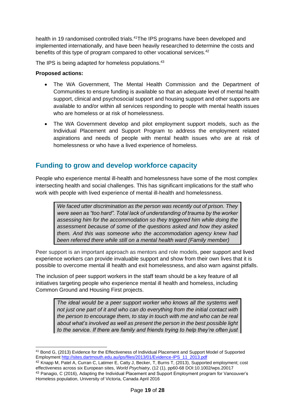health in 19 randomised controlled trials.<sup>41</sup>The IPS programs have been developed and implemented internationally, and have been heavily researched to determine the costs and benefits of this type of program compared to other vocational services.<sup>42</sup>

The IPS is being adapted for homeless populations.<sup>43</sup>

#### **Proposed actions:**

- The WA Government, The Mental Health Commission and the Department of Communities to ensure funding is available so that an adequate level of mental health support, clinical and psychosocial support and housing support and other supports are available to and/or within all services responding to people with mental health issues who are homeless or at risk of homelessness.
- The WA Government develop and pilot employment support models, such as the Individual Placement and Support Program to address the employment related aspirations and needs of people with mental health issues who are at risk of homelessness or who have a lived experience of homeless.

### <span id="page-18-0"></span>**Funding to grow and develop workforce capacity**

People who experience mental ill-health and homelessness have some of the most complex intersecting health and social challenges. This has significant implications for the staff who work with people with lived experience of mental ill-health and homelessness.

*We faced utter discrimination as the person was recently out of prison. They were seen as "too hard". Total lack of understanding of trauma by the worker assessing him for the accommodation so they triggered him while doing the assessment because of some of the questions asked and how they asked them. And this was someone who the accommodation agency knew had been referred there while still on a mental health ward (Family member)*

Peer support is an important approach as mentors and role models, peer support and lived experience workers can provide invaluable support and show from their own lives that it is possible to overcome mental ill health and exit homelessness, and also warn against pitfalls.

The inclusion of peer support workers in the staff team should be a key feature of all initiatives targeting people who experience mental ill health and homeless, including Common Ground and Housing First projects.

> *The ideal would be a peer support worker who knows all the systems well not just one part of it and who can do everything from the initial contact with the person to encourage them, to stay in touch with me and who can be real about what's involved as well as present the person in the best possible light to the service. If there are family and friends trying to help they're often just*

<sup>41</sup> Bond G, (2013) Evidence for the Effectiveness of Individual Placement and Support Model of Supported Employment [http://sites.dartmouth.edu.au/ips/files/2013/01/Evidence-IPS\\_11\\_2013.pdf](http://sites.dartmouth.edu.au/ips/files/2013/01/Evidence-IPS_11_2013.pdf)

<sup>42</sup> Knapp M, Patel A, Curran C, Latimer E, Catty J, Becker, T, Burns T, (2013), Supported employment; cost effectiveness across six European sites, *World Psychiatry*, (12 (1), pp60-68 DOI:10.1002/wps.20017 <sup>43</sup> Panagio, C (2016), Adapting the Individual Placement and Support Employment program for Vancouver's Homeless population, University of Victoria, Canada April 2016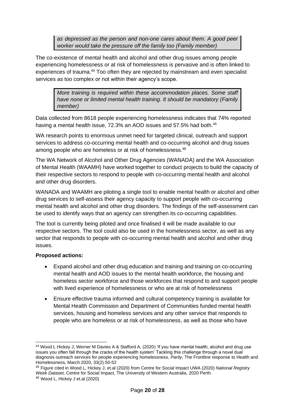*as depressed as the person and non-one cares about them. A good peer worker would take the pressure off the family too (Family member)*

The co-existence of mental health and alcohol and other drug issues among people experiencing homelessness or at risk of homelessness is pervasive and is often linked to experiences of trauma.<sup>44</sup> Too often they are rejected by mainstream and even specialist services as too complex or not within their agency's scope.

*More training is required within these accommodation places. Some staff have none or limited mental health training. It should be mandatory (Family member)*

Data collected from 8618 people experiencing homelessness indicates that 74% reported having a mental health issue, 72.3% an AOD issues and 57.5% had both.<sup>45</sup>

WA research points to enormous unmet need for targeted clinical, outreach and support services to address co-occurring mental health and co-occurring alcohol and drug issues among people who are homeless or at risk of homelessness.<sup>46</sup>

The WA Network of Alcohol and Other Drug Agencies (WANADA) and the WA Association of Mental Health (WAAMH) have worked together to conduct projects to build the capacity of their respective sectors to respond to people with co-occurring mental health and alcohol and other drug disorders.

WANADA and WAAMH are piloting a single tool to enable mental health or alcohol and other drug services to self-assess their agency capacity to support people with co-occurring mental health and alcohol and other drug disorders. The findings of the self-assessment can be used to identify ways that an agency can strengthen its co-occurring capabilities.

The tool is currently being piloted and once finalised it will be made available to our respective sectors. The tool could also be used in the homelessness sector, as well as any sector that responds to people with co-occurring mental health and alcohol and other drug issues.

#### **Proposed actions:**

- Expand alcohol and other drug education and training and training on co-occurring mental health and AOD issues to the mental health workforce, the housing and homeless sector workforce and those workforces that respond to and support people with lived experience of homelessness or who are at risk of homelessness
- Ensure effective trauma informed and cultural competency training is available for Mental Health Commission and Department of Communities funded mental health services, housing and homeless services and any other service that responds to people who are homeless or at risk of homelessness, as well as those who have

<sup>44</sup> Wood L Hickey J, Werner M Davies A & Stafford A, (2020) 'If you have mental health, alcohol and drug use issues you often fall through the cracks of the health system' Tackling this challenge through a novel dual diagnosis outreach services for people experiencing homelessness, *Parity*, The Frontline response to Health and Homelessness, March 2020, 33(2):50-52

<sup>45</sup> Figure cited in Wood L, Hickey J, et.al (2020) from Centre for Social Impact UWA (2020) *National Registry Week Dataset,* Centre for Social Impact, The University of Western Australia, 2020 Perth.

<sup>46</sup> Wood L, Hickey J et.al (2020)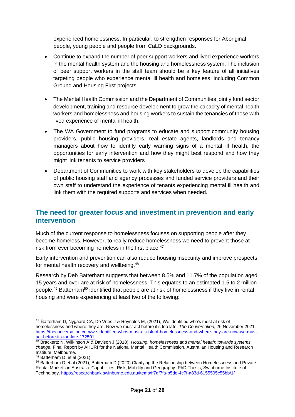experienced homelessness. In particular, to strengthen responses for Aboriginal people, young people and people from CaLD backgrounds.

- Continue to expand the number of peer support workers and lived experience workers in the mental health system and the housing and homelessness system. The inclusion of peer support workers in the staff team should be a key feature of all initiatives targeting people who experience mental ill health and homeless, including Common Ground and Housing First projects.
- The Mental Health Commission and the Department of Communities jointly fund sector development, training and resource development to grow the capacity of mental health workers and homelessness and housing workers to sustain the tenancies of those with lived experience of mental ill health.
- The WA Government to fund programs to educate and support community housing providers, public housing providers, real estate agents, landlords and tenancy managers about how to identify early warning signs of a mental ill health, the opportunities for early intervention and how they might best respond and how they might link tenants to service providers
- Department of Communities to work with key stakeholders to develop the capabilities of public housing staff and agency processes and funded service providers and their own staff to understand the experience of tenants experiencing mental ill health and link them with the required supports and services when needed.

### <span id="page-20-0"></span>**The need for greater focus and investment in prevention and early intervention**

Much of the current response to homelessness focuses on supporting people after they become homeless. However, to really reduce homelessness we need to prevent those at risk from ever becoming homeless in the first place.<sup>47</sup>

Early intervention and prevention can also reduce housing insecurity and improve prospects for mental health recovery and wellbeing.<sup>48</sup>

Research by Deb Batterham suggests that between 8.5% and 11.7% of the population aged 15 years and over are at risk of homelessness. This equates to an estimated 1.5 to 2 million people.<sup>49</sup> Batterham<sup>50</sup> identified that people are at risk of homelessness if they live in rental housing and were experiencing at least two of the following:

<sup>47</sup> Batterham D, Nygaard CA, De Vries J & Reynolds M, (2021), We identified who's most at risk of homelessness and where they are. Now we must act before it's too late, *The Conversation*, 26 November 2021. [https://theconversation.com/we-identified-whos-most-at-risk-of-homelessness-and-where-they-are-now-we-must](https://theconversation.com/we-identified-whos-most-at-risk-of-homelessness-and-where-they-are-now-we-must-act-before-its-too-late-172501)[act-before-its-too-late-172501](https://theconversation.com/we-identified-whos-most-at-risk-of-homelessness-and-where-they-are-now-we-must-act-before-its-too-late-172501)

<sup>48</sup> Brackertz N, Wilkinson A & Davison J (2018), *Housing, homelessness and mental health: towards systems change,* Final Report by AHURI for the National Mental Health Commission, Australian Housing and Research Institute, Melbourne.

<sup>49</sup> Batterham D, et.al (2021)

**<sup>50</sup>** Batterham D et.al (2021); Batterham D (2020) Clarifying the Relationship between Homelessness and Private Rental Markets in Australia: Capabilities, Risk, Mobility and Geography, PhD Thesis, Swinburne Institute of Technology[. https://researchbank.swinburne.edu.au/items/ff7df7fa-b5de-4c7f-a83d-6155505c55bb/1/](https://researchbank.swinburne.edu.au/items/ff7df7fa-b5de-4c7f-a83d-6155505c55bb/1/)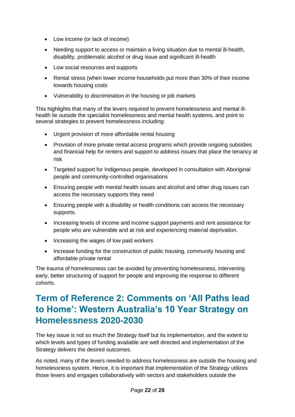- Low income (or lack of income)
- Needing support to access or maintain a living situation due to mental ill-health, disability, problematic alcohol or drug issue and significant ill-health
- Low social resources and supports
- Rental stress (when lower income households put more than 30% of their income towards housing costs
- Vulnerability to discrimination in the housing or job markets

This highlights that many of the levers required to prevent homelessness and mental illhealth lie outside the specialist homelessness and mental health systems, and point to several strategies to prevent homelessness including:

- Urgent provision of more affordable rental housing
- Provision of more private rental access programs which provide ongoing subsidies and financial help for renters and support to address issues that place the tenancy at risk
- Targeted support for Indigenous people, developed in consultation with Aboriginal people and community-controlled organisations
- Ensuring people with mental health issues and alcohol and other drug issues can access the necessary supports they need
- Ensuring people with a disability or health conditions can access the necessary supports.
- Increasing levels of income and income support payments and rent assistance for people who are vulnerable and at risk and experiencing material deprivation.
- Increasing the wages of low paid workers
- Increase funding for the construction of public housing, community housing and affordable private rental

The trauma of homelessness can be avoided by preventing homelessness, intervening early, better structuring of support for people and improving the response to different cohorts.

## <span id="page-21-0"></span>**Term of Reference 2: Comments on 'All Paths lead to Home': Western Australia's 10 Year Strategy on Homelessness 2020-2030**

The key issue is not so much the Strategy itself but its implementation, and the extent to which levels and types of funding available are well directed and implementation of the Strategy delivers the desired outcomes.

As noted, many of the levers needed to address homelessness are outside the housing and homelessness system. Hence, it is important that implementation of the Strategy utilizes those levers and engages collaboratively with sectors and stakeholders outside the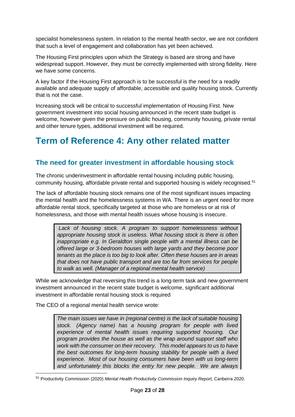specialist homelessness system. In relation to the mental health sector, we are not confident that such a level of engagement and collaboration has yet been achieved.

The Housing First principles upon which the Strategy is based are strong and have widespread support. However, they must be correctly implemented with strong fidelity. Here we have some concerns.

A key factor if the Housing First approach is to be successful is the need for a readily available and adequate supply of affordable, accessible and quality housing stock. Currently that is not the case.

Increasing stock will be critical to successful implementation of Housing First. New government investment into social housing announced in the recent state budget is welcome, however given the pressure on public housing, community housing, private rental and other tenure types, additional investment will be required.

## <span id="page-22-0"></span>**Term of Reference 4: Any other related matter**

## <span id="page-22-1"></span>**The need for greater investment in affordable housing stock**

The chronic underinvestment in affordable rental housing including public housing, community housing, affordable private rental and supported housing is widely recognised.<sup>51</sup>

The lack of affordable housing stock remains one of the most significant issues impacting the mental health and the homelessness systems in WA. There is an urgent need for more affordable rental stock, specifically targeted at those who are homeless or at risk of homelessness, and those with mental health issues whose housing is insecure.

Lack of housing stock. A program to support homelessness without *appropriate housing stock is useless. What housing stock is there is often inappropriate e.g. In Geraldton single people with a mental illness can be offered large or 3-bedroom houses with large yards and they become poor tenants as the place is too big to look after. Often these houses are in areas that does not have public transport and are too far from services for people to walk as well. (Manager of a regional mental health service)*

While we acknowledge that reversing this trend is a long-term task and new government investment announced in the recent state budget is welcome, significant additional investment in affordable rental housing stock is required

The CEO of a regional mental health service wrote:

*The main issues we have in (regional centre) is the lack of suitable housing stock. (Agency name) has a housing program for people with lived experience of mental health issues requiring supported housing. Our program provides the house as well as the wrap around support staff who work with the consumer on their recovery. This model appears to us to have the best outcomes for long-term housing stability for people with a lived experience. Most of our housing consumers have been with us long-term and unfortunately this blocks the entry for new people. We are always* 

<sup>51</sup> Productivity Commission (2020) *Mental Health Productivity Commission Inquiry Report*, Canberra 2020.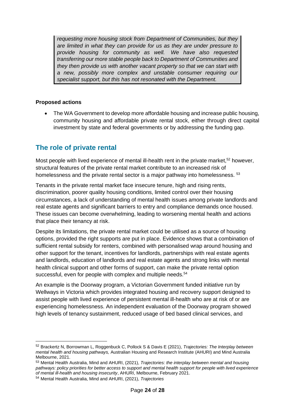*requesting more housing stock from Department of Communities, but they are limited in what they can provide for us as they are under pressure to provide housing for community as well. We have also requested transferring our more stable people back to Department of Communities and they then provide us with another vacant property so that we can start with a new, possibly more complex and unstable consumer requiring our specialist support, but this has not resonated with the Department.*

#### **Proposed actions**

• The WA Government to develop more affordable housing and increase public housing, community housing and affordable private rental stock, either through direct capital investment by state and federal governments or by addressing the funding gap.

## <span id="page-23-0"></span>**The role of private rental**

Most people with lived experience of mental ill-health rent in the private market,<sup>52</sup> however, structural features of the private rental market contribute to an increased risk of homelessness and the private rental sector is a major pathway into homelessness. 53

Tenants in the private rental market face insecure tenure, high and rising rents, discrimination, poorer quality housing conditions, limited control over their housing circumstances, a lack of understanding of mental health issues among private landlords and real estate agents and significant barriers to entry and compliance demands once housed. These issues can become overwhelming, leading to worsening mental health and actions that place their tenancy at risk.

Despite its limitations, the private rental market could be utilised as a source of housing options, provided the right supports are put in place. Evidence shows that a combination of sufficient rental subsidy for renters, combined with personalised wrap around housing and other support for the tenant, incentives for landlords, partnerships with real estate agents and landlords, education of landlords and real estate agents and strong links with mental health clinical support and other forms of support, can make the private rental option successful, even for people with complex and multiple needs.<sup>54</sup>

An example is the Doorway program, a Victorian Government funded initiative run by Wellways in Victoria which provides integrated housing and recovery support designed to assist people with lived experience of persistent mental ill-health who are at risk of or are experiencing homelessness. An independent evaluation of the Doorway program showed high levels of tenancy sustainment, reduced usage of bed based clinical services, and

<sup>52</sup> Brackertz N, Borrowman L, Roggenbuck C, Pollock S & Davis E (2021), *Trajectories: The Interplay between mental health and housing pathways,* Australian Housing and Research Institute (AHURI) and Mind Australia Melbourne, 2021.

<sup>53</sup> Mental Health Australia, Mind and AHURI, (2021), *Trajectories: the interplay between mental and housing pathways: policy priorities for better access to support and mental health support for people with lived experience of mental ill-health and housing insecurity*, AHURI, Melbourne, February 2021.

<sup>54</sup> Mental Health Australia, Mind and AHURI, (2021), *Trajectories*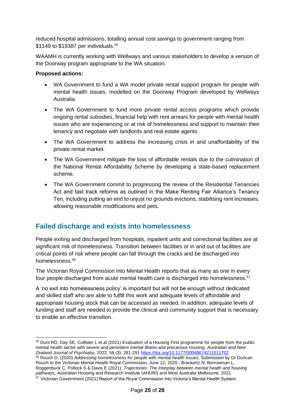reduced hospital admissions, totalling annual cost savings to government ranging from \$1149 to \$19387 per individuals.<sup>55</sup>

WAAMH is currently working with Wellways and various stakeholders to develop a version of the Doorway program appropriate to the WA situation.

#### **Proposed actions:**

- WA Government to fund a WA model private rental support program for people with mental health issues, modelled on the Doorway Program developed by Wellways Australia.
- The WA Government to fund more private rental access programs which provide ongoing rental subsidies, financial help with rent arrears for people with mental health issues who are experiencing or at risk of homelessness and support to maintain their tenancy and negotiate with landlords and real estate agents.
- The WA Government to address the increasing crisis in and unaffordability of the private rental market.
- The WA Government mitigate the loss of affordable rentals due to the culmination of the National Rental Affordability Scheme by developing a state-based replacement scheme.
- The WA Government commit to progressing the review of the Residential Tenancies Act and fast track reforms as outlined in the Make Renting Fair Alliance's Tenancy Ten, including putting an end to unjust no grounds evictions, stabilising rent increases, allowing reasonable modifications and pets.

## <span id="page-24-0"></span>**Failed discharge and exists into homelessness**

People exiting and discharged from hospitals, inpatient units and correctional facilities are at significant risk of homelessness. Transition between facilities or in and out of facilities are critical points of risk where people can fall through the cracks and be discharged into homelessness. 56

The Victorian Royal Commission into Mental Health reports that as many as one in every four people discharged from acute mental health care is discharged into homelessness.<sup>57</sup>

A 'no exit into homelessness policy' is important but will not be enough without dedicated and skilled staff who are able to fulfill this work and adequate levels of affordable and appropriate housing stock that can be accessed as needed. In addition, adequate levels of funding and staff are needed to provide the clinical and community support that is necessary to enable an effective transition.

<sup>56</sup> Rouch D, (2020) *Addressing homelessness for people with mental health issues*, Submission by Dr Duncan Rouch to the Victorian Mental Health Royal Commission, June 12, 2020.; Brackertz N, Borrowman L, Roggenbuck C, Pollock S & Davis E (2021), *Trajectories: The Interplay between mental health and housing pathways,* Australian Housing and Research Institute (AHURI) and Mind Australia Melbourne, 2021. <sup>57</sup> Victorian Government (2021) Report of the Royal Commission into Victoria's Mental Health System.

<sup>55</sup> Dunt RD, Day SE, Collister L et.al (2021) Evaluation of a Housing First programme for people from the public mental health sector with severe and persistent mental illness and precarious housing, *Australian and New Zealand Journal of Psychiatry*, 2022, 56 (3): 281-29[1 https://doj.org/10.1177/00048674211011702](https://doj.org/10.1177/00048674211011702)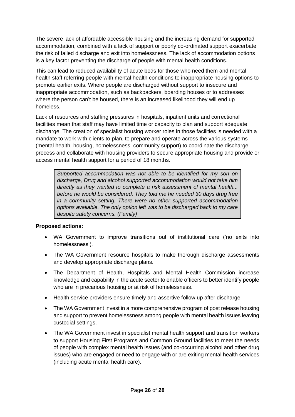The severe lack of affordable accessible housing and the increasing demand for supported accommodation, combined with a lack of support or poorly co-ordinated support exacerbate the risk of failed discharge and exit into homelessness. The lack of accommodation options is a key factor preventing the discharge of people with mental health conditions.

This can lead to reduced availability of acute beds for those who need them and mental health staff referring people with mental health conditions to inappropriate housing options to promote earlier exits. Where people are discharged without support to insecure and inappropriate accommodation, such as backpackers, boarding houses or to addresses where the person can't be housed, there is an increased likelihood they will end up homeless.

Lack of resources and staffing pressures in hospitals, inpatient units and correctional facilities mean that staff may have limited time or capacity to plan and support adequate discharge. The creation of specialist housing worker roles in those facilities is needed with a mandate to work with clients to plan, to prepare and operate across the various systems (mental health, housing, homelessness, community support) to coordinate the discharge process and collaborate with housing providers to secure appropriate housing and provide or access mental health support for a period of 18 months.

*Supported accommodation was not able to be identified for my son on discharge, Drug and alcohol supported accommodation would not take him directly as they wanted to complete a risk assessment of mental health... before he would be considered. They told me he needed 30 days drug free in a community setting. There were no other supported accommodation options available. The only option left was to be discharged back to my care despite safety concerns. (Family)*

#### **Proposed actions:**

- WA Government to improve transitions out of institutional care ('no exits into homelessness').
- The WA Government resource hospitals to make thorough discharge assessments and develop appropriate discharge plans.
- The Department of Health, Hospitals and Mental Health Commission increase knowledge and capability in the acute sector to enable officers to better identify people who are in precarious housing or at risk of homelessness.
- Health service providers ensure timely and assertive follow up after discharge
- The WA Government invest in a more comprehensive program of post release housing and support to prevent homelessness among people with mental health issues leaving custodial settings.
- The WA Government invest in specialist mental health support and transition workers to support Housing First Programs and Common Ground facilities to meet the needs of people with complex mental health issues (and co-occurring alcohol and other drug issues) who are engaged or need to engage with or are exiting mental health services (including acute mental health care).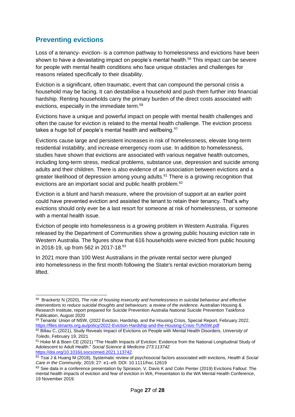## <span id="page-26-0"></span>**Preventing evictions**

Loss of a tenancy- eviction- is a common pathway to homelessness and evictions have been shown to have a devastating impact on people's mental health.<sup>58</sup> This impact can be severe for people with mental health conditions who face unique obstacles and challenges for reasons related specifically to their disability.

Eviction is a significant, often traumatic, event that can compound the personal crisis a household may be facing. It can destabilise a household and push them further into financial hardship. Renting households carry the primary burden of the direct costs associated with evictions, especially in the immediate term.<sup>59</sup>

Evictions have a unique and powerful impact on people with mental health challenges and often the cause for eviction is related to the mental health challenge. The eviction process takes a huge toll of people's mental health and wellbeing. $60$ 

Evictions cause large and persistent increases in risk of homelessness, elevate long-term residential instability, and increase emergency room use. In addition to homelessness, studies have shown that evictions are associated with various negative health outcomes, including long-term stress, medical problems, substance use, depression and suicide among adults and their children. There is also evidence of an association between evictions and a greater likelihood of depression among young adults.<sup>61</sup> There is a growing recognition that evictions are an important social and public health problem.<sup>62</sup>

Eviction is a blunt and harsh measure, where the provision of support at an earlier point could have prevented eviction and assisted the tenant to retain their tenancy. That's why evictions should only ever be a last resort for someone at risk of homelessness, or someone with a mental health issue.

Eviction of people into homelessness is a growing problem in Western Australia. Figures released by the Department of Communities show a growing public housing eviction rate in Western Australia. The figures show that 616 households were evicted from public housing in 2018-19, up from 562 in 2017-18.<sup>63</sup>

In 2021 more than 100 West Australians in the private rental sector were plunged into homelessness in the first month following the State's rental eviction moratorium being lifted.

59 Tenants' Union of NSW, (2022 Eviction, Hardship, and the Housing Crisis, Special Report, February 2022. <https://files.tenants.org.au/policy/2022-Eviction-Hardship-and-the-Housing-Crisis-TUNSW.pdf>

<sup>58</sup> Brackertz N (2020), *The role of housing insecurity and homelessness in suicidal behaviour and effective interventions to reduce suicidal thoughts and behaviours: a review of the evidence,* Australian Housing & Research Institute, report prepared for Suicide Prevention Australia National Suicide Prevention Taskforce Publication, August 2020

<sup>60</sup> Billau C, (2021), Study Reveals Impact of Evictions on People with Mental Health Disorders, *University of Toledo*, February 19, 2021

<sup>61</sup> Hoke M & Boen CE (2021) "The Health Impacts of Eviction: Evidence from the National [Longitudinal](https://doi.org/10.1016/j.socscimed.2021.113742) Study of [Adolescent](https://doi.org/10.1016/j.socscimed.2021.113742) to Adult Health." *Social Science & Medicine 273:113742* [https://doi.org/10.1016/j.socscimed.2021.113742.](https://doi.org/10.1016/j.socscimed.2021.113742)

<sup>62</sup> Tsai J & Huang M (2018), Systematic review of psychosocial factors associated with evictions, *Health & Social Care in the Community*, 2019; 27: e1–e9. DOI: 10.1111/hsc.12619

<sup>63</sup> See data in a conference presentation by Spirason, V, Davis K and Colin Penter (2019) Evictions Fallout: The mental health impacts of eviction and fear of eviction in WA, Presentation to the WA Mental Health Conference, 19 November 2019.